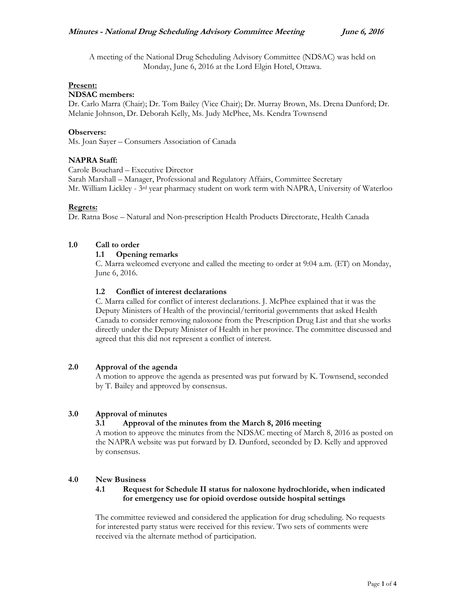A meeting of the National Drug Scheduling Advisory Committee (NDSAC) was held on Monday, June 6, 2016 at the Lord Elgin Hotel, Ottawa.

# **Present:**

#### **NDSAC members:**

Dr. Carlo Marra (Chair); Dr. Tom Bailey (Vice Chair); Dr. Murray Brown, Ms. Drena Dunford; Dr. Melanie Johnson, Dr. Deborah Kelly, Ms. Judy McPhee, Ms. Kendra Townsend

#### **Observers:**

Ms. Joan Sayer – Consumers Association of Canada

# **NAPRA Staff:**

Carole Bouchard – Executive Director Sarah Marshall – Manager, Professional and Regulatory Affairs, Committee Secretary Mr. William Lickley - 3rd year pharmacy student on work term with NAPRA, University of Waterloo

#### **Regrets:**

Dr. Ratna Bose – Natural and Non-prescription Health Products Directorate, Health Canada

# **1.0 Call to order**

#### **1.1 Opening remarks**

C. Marra welcomed everyone and called the meeting to order at 9:04 a.m. (ET) on Monday, June 6, 2016.

# **1.2 Conflict of interest declarations**

C. Marra called for conflict of interest declarations. J. McPhee explained that it was the Deputy Ministers of Health of the provincial/territorial governments that asked Health Canada to consider removing naloxone from the Prescription Drug List and that she works directly under the Deputy Minister of Health in her province. The committee discussed and agreed that this did not represent a conflict of interest.

# **2.0 Approval of the agenda**

A motion to approve the agenda as presented was put forward by K. Townsend, seconded by T. Bailey and approved by consensus.

# **3.0 Approval of minutes**

# **3.1 Approval of the minutes from the March 8, 2016 meeting**

A motion to approve the minutes from the NDSAC meeting of March 8, 2016 as posted on the NAPRA website was put forward by D. Dunford, seconded by D. Kelly and approved by consensus.

# **4.0 New Business**

#### **4.1 Request for Schedule II status for naloxone hydrochloride, when indicated for emergency use for opioid overdose outside hospital settings**

The committee reviewed and considered the application for drug scheduling. No requests for interested party status were received for this review. Two sets of comments were received via the alternate method of participation.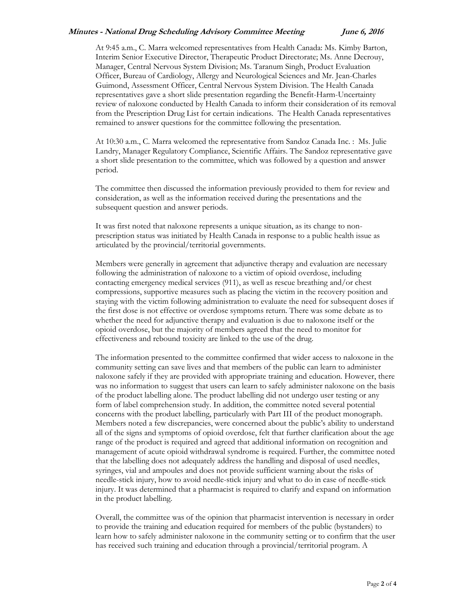#### **Minutes - National Drug Scheduling Advisory Committee Meeting June 6, 2016**

At 9:45 a.m., C. Marra welcomed representatives from Health Canada: Ms. Kimby Barton, Interim Senior Executive Director, Therapeutic Product Directorate; Ms. Anne Decrouy, Manager, Central Nervous System Division; Ms. Taranum Singh, Product Evaluation Officer, Bureau of Cardiology, Allergy and Neurological Sciences and Mr. Jean-Charles Guimond, Assessment Officer, Central Nervous System Division. The Health Canada representatives gave a short slide presentation regarding the Benefit-Harm-Uncertainty review of naloxone conducted by Health Canada to inform their consideration of its removal from the Prescription Drug List for certain indications. The Health Canada representatives remained to answer questions for the committee following the presentation.

At 10:30 a.m., C. Marra welcomed the representative from Sandoz Canada Inc. : Ms. Julie Landry, Manager Regulatory Compliance, Scientific Affairs. The Sandoz representative gave a short slide presentation to the committee, which was followed by a question and answer period.

The committee then discussed the information previously provided to them for review and consideration, as well as the information received during the presentations and the subsequent question and answer periods.

It was first noted that naloxone represents a unique situation, as its change to nonprescription status was initiated by Health Canada in response to a public health issue as articulated by the provincial/territorial governments.

Members were generally in agreement that adjunctive therapy and evaluation are necessary following the administration of naloxone to a victim of opioid overdose, including contacting emergency medical services (911), as well as rescue breathing and/or chest compressions, supportive measures such as placing the victim in the recovery position and staying with the victim following administration to evaluate the need for subsequent doses if the first dose is not effective or overdose symptoms return. There was some debate as to whether the need for adjunctive therapy and evaluation is due to naloxone itself or the opioid overdose, but the majority of members agreed that the need to monitor for effectiveness and rebound toxicity are linked to the use of the drug.

The information presented to the committee confirmed that wider access to naloxone in the community setting can save lives and that members of the public can learn to administer naloxone safely if they are provided with appropriate training and education. However, there was no information to suggest that users can learn to safely administer naloxone on the basis of the product labelling alone. The product labelling did not undergo user testing or any form of label comprehension study. In addition, the committee noted several potential concerns with the product labelling, particularly with Part III of the product monograph. Members noted a few discrepancies, were concerned about the public's ability to understand all of the signs and symptoms of opioid overdose, felt that further clarification about the age range of the product is required and agreed that additional information on recognition and management of acute opioid withdrawal syndrome is required. Further, the committee noted that the labelling does not adequately address the handling and disposal of used needles, syringes, vial and ampoules and does not provide sufficient warning about the risks of needle-stick injury, how to avoid needle-stick injury and what to do in case of needle-stick injury. It was determined that a pharmacist is required to clarify and expand on information in the product labelling.

Overall, the committee was of the opinion that pharmacist intervention is necessary in order to provide the training and education required for members of the public (bystanders) to learn how to safely administer naloxone in the community setting or to confirm that the user has received such training and education through a provincial/territorial program. A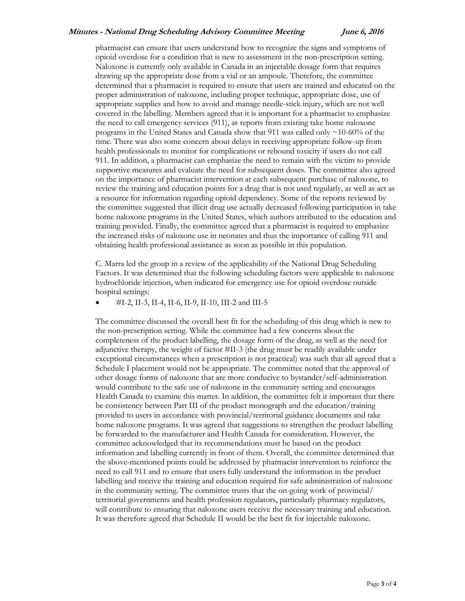#### **Minutes - National Drug Scheduling Advisory Committee Meeting June 6, 2016**

pharmacist can ensure that users understand how to recognize the signs and symptoms of opioid overdose for a condition that is new to assessment in the non-prescription setting. Naloxone is currently only available in Canada in an injectable dosage form that requires drawing up the appropriate dose from a vial or an ampoule. Therefore, the committee determined that a pharmacist is required to ensure that users are trained and educated on the proper administration of naloxone, including proper technique, appropriate dose, use of appropriate supplies and how to avoid and manage needle-stick injury, which are not well covered in the labelling. Members agreed that it is important for a pharmacist to emphasize the need to call emergency services (911), as reports from existing take home naloxone programs in the United States and Canada show that 911 was called only ~10-60% of the time. There was also some concern about delays in receiving appropriate follow-up from health professionals to monitor for complications or rebound toxicity if users do not call 911. In addition, a pharmacist can emphasize the need to remain with the victim to provide supportive measures and evaluate the need for subsequent doses. The committee also agreed on the importance of pharmacist intervention at each subsequent purchase of naloxone, to review the training and education points for a drug that is not used regularly, as well as act as a resource for information regarding opioid dependency. Some of the reports reviewed by the committee suggested that illicit drug use actually decreased following participation in take home naloxone programs in the United States, which authors attributed to the education and training provided. Finally, the committee agreed that a pharmacist is required to emphasize the increased risks of naloxone use in neonates and thus the importance of calling 911 and obtaining health professional assistance as soon as possible in this population.

C. Marra led the group in a review of the applicability of the National Drug Scheduling Factors. It was determined that the following scheduling factors were applicable to naloxone hydrochloride injection, when indicated for emergency use for opioid overdose outside hospital settings:

#I-2, II-3, II-4, II-6, II-9, II-10, III-2 and III-5

The committee discussed the overall best fit for the scheduling of this drug which is new to the non-prescription setting. While the committee had a few concerns about the completeness of the product labelling, the dosage form of the drug, as well as the need for adjunctive therapy, the weight of factor #II-3 (the drug must be readily available under exceptional circumstances when a prescription is not practical) was such that all agreed that a Schedule I placement would not be appropriate. The committee noted that the approval of other dosage forms of naloxone that are more conducive to bystander/self-administration would contribute to the safe use of naloxone in the community setting and encourages Health Canada to examine this matter. In addition, the committee felt it important that there be consistency between Part III of the product monograph and the education/training provided to users in accordance with provincial/territorial guidance documents and take home naloxone programs. It was agreed that suggestions to strengthen the product labelling be forwarded to the manufacturer and Health Canada for consideration. However, the committee acknowledged that its recommendations must be based on the product information and labelling currently in front of them. Overall, the committee determined that the above-mentioned points could be addressed by pharmacist intervention to reinforce the need to call 911 and to ensure that users fully understand the information in the product labelling and receive the training and education required for safe administration of naloxone in the community setting. The committee trusts that the on-going work of provincial/ territorial governments and health profession regulators, particularly pharmacy regulators, will contribute to ensuring that naloxone users receive the necessary training and education. It was therefore agreed that Schedule II would be the best fit for injectable naloxone.